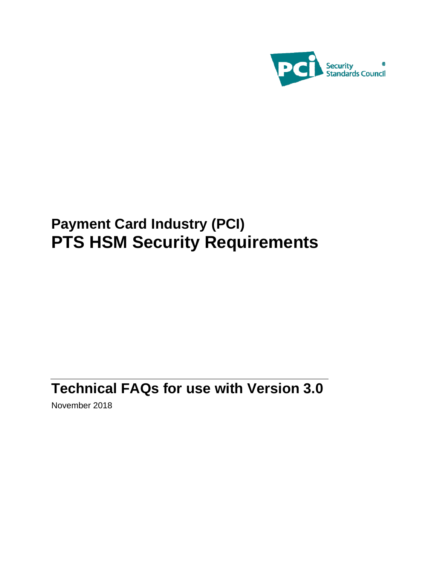

# **Payment Card Industry (PCI) PTS HSM Security Requirements**

## **Technical FAQs for use with Version 3.0**

November 2018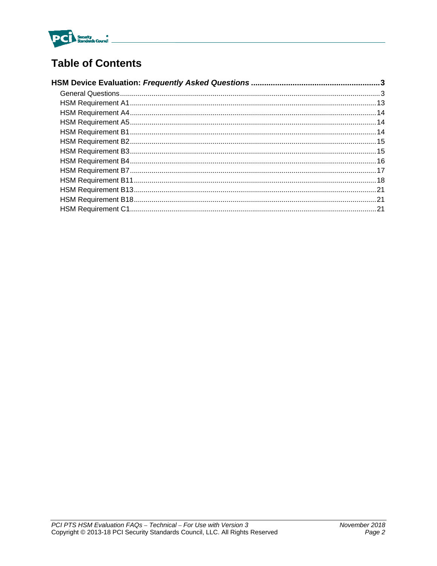

## **Table of Contents**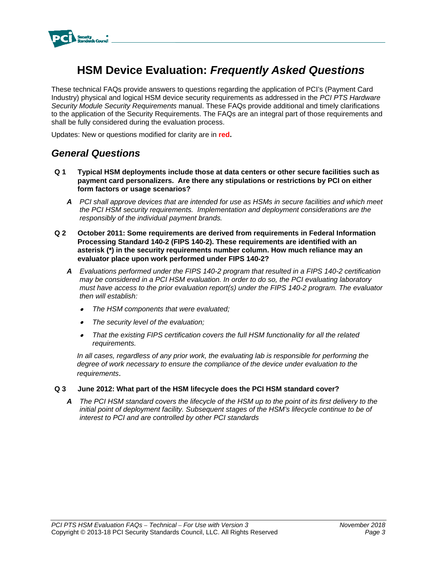

## **HSM Device Evaluation:** *Frequently Asked Questions*

These technical FAQs provide answers to questions regarding the application of PCI's (Payment Card Industry) physical and logical HSM device security requirements as addressed in the *PCI PTS Hardware Security Module Security Requirements* manual. These FAQs provide additional and timely clarifications to the application of the Security Requirements. The FAQs are an integral part of those requirements and shall be fully considered during the evaluation process.

Updates: New or questions modified for clarity are in **red.**

## *General Questions*

- **Q 1 Typical HSM deployments include those at data centers or other secure facilities such as payment card personalizers. Are there any stipulations or restrictions by PCI on either form factors or usage scenarios?** 
	- *A PCI shall approve devices that are intended for use as HSMs in secure facilities and which meet the PCI HSM security requirements. Implementation and deployment considerations are the responsibly of the individual payment brands.*
- **Q 2 October 2011: Some requirements are derived from requirements in Federal Information Processing Standard 140-2 (FIPS 140-2). These requirements are identified with an asterisk (\*) in the security requirements number column. How much reliance may an evaluator place upon work performed under FIPS 140-2?** 
	- *A Evaluations performed under the FIPS 140-2 program that resulted in a FIPS 140-2 certification may be considered in a PCI HSM evaluation. In order to do so, the PCI evaluating laboratory must have access to the prior evaluation report(s) under the FIPS 140-2 program. The evaluator then will establish:* 
		- . *The HSM components that were evaluated;*
		- . *The security level of the evaluation;*
		- $\bullet$  *That the existing FIPS certification covers the full HSM functionality for all the related requirements.*

*In all cases, regardless of any prior work, the evaluating lab is responsible for performing the degree of work necessary to ensure the compliance of the device under evaluation to the requirements*.

- **Q 3 June 2012: What part of the HSM lifecycle does the PCI HSM standard cover?** 
	- *A The PCI HSM standard covers the lifecycle of the HSM up to the point of its first delivery to the initial point of deployment facility. Subsequent stages of the HSM's lifecycle continue to be of interest to PCI and are controlled by other PCI standards*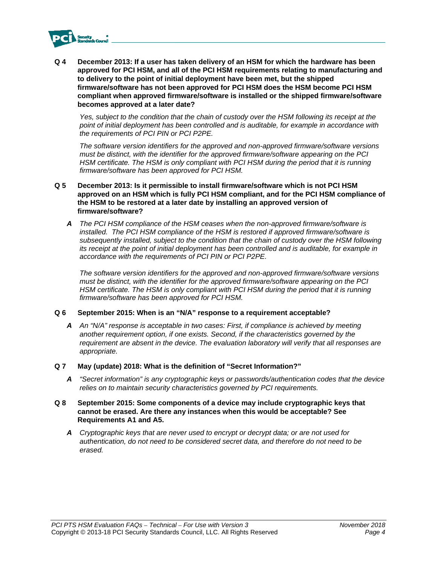

**Q 4 December 2013: If a user has taken delivery of an HSM for which the hardware has been approved for PCI HSM, and all of the PCI HSM requirements relating to manufacturing and to delivery to the point of initial deployment have been met, but the shipped firmware/software has not been approved for PCI HSM does the HSM become PCI HSM compliant when approved firmware/software is installed or the shipped firmware/software becomes approved at a later date?** 

*Yes, subject to the condition that the chain of custody over the HSM following its receipt at the point of initial deployment has been controlled and is auditable, for example in accordance with the requirements of PCI PIN or PCI P2PE.* 

*The software version identifiers for the approved and non-approved firmware/software versions must be distinct, with the identifier for the approved firmware/software appearing on the PCI HSM certificate. The HSM is only compliant with PCI HSM during the period that it is running firmware/software has been approved for PCI HSM.* 

#### **Q 5 December 2013: Is it permissible to install firmware/software which is not PCI HSM approved on an HSM which is fully PCI HSM compliant, and for the PCI HSM compliance of the HSM to be restored at a later date by installing an approved version of firmware/software?**

*A The PCI HSM compliance of the HSM ceases when the non-approved firmware/software is installed. The PCI HSM compliance of the HSM is restored if approved firmware/software is subsequently installed, subject to the condition that the chain of custody over the HSM following its receipt at the point of initial deployment has been controlled and is auditable, for example in accordance with the requirements of PCI PIN or PCI P2PE.* 

*The software version identifiers for the approved and non-approved firmware/software versions must be distinct, with the identifier for the approved firmware/software appearing on the PCI HSM certificate. The HSM is only compliant with PCI HSM during the period that it is running firmware/software has been approved for PCI HSM.* 

## **Q 6 September 2015: When is an "N/A" response to a requirement acceptable?**

*A An "N/A" response is acceptable in two cases: First, if compliance is achieved by meeting another requirement option, if one exists. Second, if the characteristics governed by the requirement are absent in the device. The evaluation laboratory will verify that all responses are appropriate.*

#### **Q 7 May (update) 2018: What is the definition of "Secret Information?"**

*A "Secret information" is any cryptographic keys or passwords/authentication codes that the device relies on to maintain security characteristics governed by PCI requirements.* 

## **Q 8 September 2015: Some components of a device may include cryptographic keys that cannot be erased. Are there any instances when this would be acceptable? See Requirements A1 and A5.**

*A Cryptographic keys that are never used to encrypt or decrypt data; or are not used for authentication, do not need to be considered secret data, and therefore do not need to be erased.*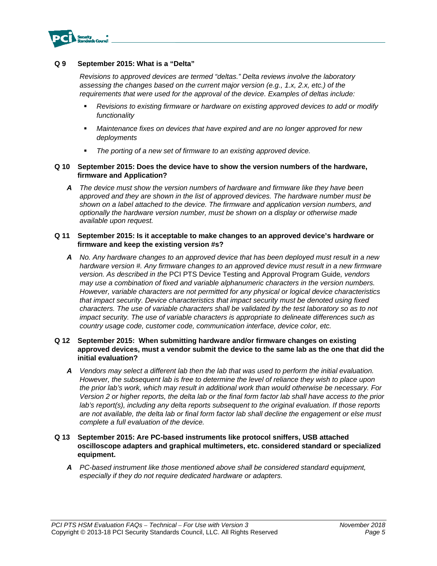

#### **Q 9 September 2015: What is a "Delta"**

*Revisions to approved devices are termed "deltas." Delta reviews involve the laboratory assessing the changes based on the current major version (e.g., 1.x, 2.x, etc.) of the requirements that were used for the approval of the device. Examples of deltas include:* 

- *Revisions to existing firmware or hardware on existing approved devices to add or modify functionality*
- *Maintenance fixes on devices that have expired and are no longer approved for new deployments*
- *The porting of a new set of firmware to an existing approved device.*

#### **Q 10 September 2015: Does the device have to show the version numbers of the hardware, firmware and Application?**

*A The device must show the version numbers of hardware and firmware like they have been approved and they are shown in the list of approved devices. The hardware number must be shown on a label attached to the device. The firmware and application version numbers, and optionally the hardware version number, must be shown on a display or otherwise made available upon request.* 

#### **Q 11 September 2015: Is it acceptable to make changes to an approved device's hardware or firmware and keep the existing version #s?**

*A No. Any hardware changes to an approved device that has been deployed must result in a new hardware version #. Any firmware changes to an approved device must result in a new firmware version. As described in the* PCI PTS Device Testing and Approval Program Guide*, vendors may use a combination of fixed and variable alphanumeric characters in the version numbers. However, variable characters are not permitted for any physical or logical device characteristics that impact security. Device characteristics that impact security must be denoted using fixed characters. The use of variable characters shall be validated by the test laboratory so as to not impact security. The use of variable characters is appropriate to delineate differences such as country usage code, customer code, communication interface, device color, etc.* 

#### **Q 12 September 2015: When submitting hardware and/or firmware changes on existing approved devices, must a vendor submit the device to the same lab as the one that did the initial evaluation?**

- *A Vendors may select a different lab then the lab that was used to perform the initial evaluation. However, the subsequent lab is free to determine the level of reliance they wish to place upon the prior lab's work, which may result in additional work than would otherwise be necessary. For Version 2 or higher reports, the delta lab or the final form factor lab shall have access to the prior lab's report(s), including any delta reports subsequent to the original evaluation. If those reports are not available, the delta lab or final form factor lab shall decline the engagement or else must complete a full evaluation of the device.*
- **Q 13 September 2015: Are PC-based instruments like protocol sniffers, USB attached oscilloscope adapters and graphical multimeters, etc. considered standard or specialized equipment.** 
	- *A PC-based instrument like those mentioned above shall be considered standard equipment, especially if they do not require dedicated hardware or adapters.*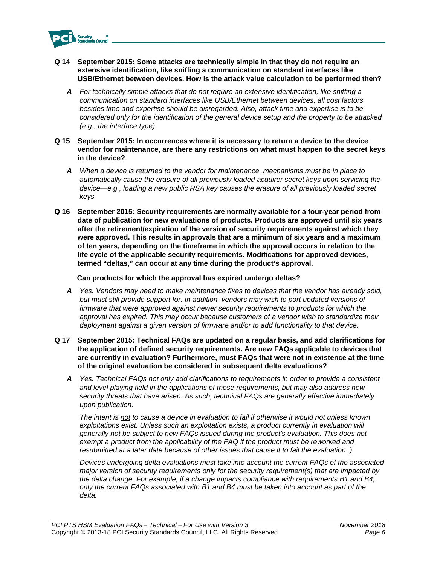

- **Q 14 September 2015: Some attacks are technically simple in that they do not require an extensive identification, like sniffing a communication on standard interfaces like USB/Ethernet between devices. How is the attack value calculation to be performed then?** 
	- *A For technically simple attacks that do not require an extensive identification, like sniffing a communication on standard interfaces like USB/Ethernet between devices, all cost factors besides time and expertise should be disregarded. Also, attack time and expertise is to be considered only for the identification of the general device setup and the property to be attacked (e.g., the interface type).*
- **Q 15 September 2015: In occurrences where it is necessary to return a device to the device vendor for maintenance, are there any restrictions on what must happen to the secret keys in the device?** 
	- *A When a device is returned to the vendor for maintenance, mechanisms must be in place to automatically cause the erasure of all previously loaded acquirer secret keys upon servicing the device—e.g., loading a new public RSA key causes the erasure of all previously loaded secret keys.*
- **Q 16 September 2015: Security requirements are normally available for a four-year period from date of publication for new evaluations of products. Products are approved until six years after the retirement/expiration of the version of security requirements against which they were approved. This results in approvals that are a minimum of six years and a maximum of ten years, depending on the timeframe in which the approval occurs in relation to the life cycle of the applicable security requirements. Modifications for approved devices, termed "deltas," can occur at any time during the product's approval.**

#### **Can products for which the approval has expired undergo deltas?**

- *A Yes. Vendors may need to make maintenance fixes to devices that the vendor has already sold, but must still provide support for. In addition, vendors may wish to port updated versions of*  firmware that were approved against newer security requirements to products for which the *approval has expired. This may occur because customers of a vendor wish to standardize their deployment against a given version of firmware and/or to add functionality to that device.*
- **Q 17 September 2015: Technical FAQs are updated on a regular basis, and add clarifications for the application of defined security requirements. Are new FAQs applicable to devices that are currently in evaluation? Furthermore, must FAQs that were not in existence at the time of the original evaluation be considered in subsequent delta evaluations?** 
	- *A Yes. Technical FAQs not only add clarifications to requirements in order to provide a consistent and level playing field in the applications of those requirements, but may also address new security threats that have arisen. As such, technical FAQs are generally effective immediately upon publication.*

*The intent is not to cause a device in evaluation to fail if otherwise it would not unless known exploitations exist. Unless such an exploitation exists, a product currently in evaluation will generally not be subject to new FAQs issued during the product's evaluation. This does not exempt a product from the applicability of the FAQ if the product must be reworked and resubmitted at a later date because of other issues that cause it to fail the evaluation. )* 

*Devices undergoing delta evaluations must take into account the current FAQs of the associated major version of security requirements only for the security requirement(s) that are impacted by the delta change. For example, if a change impacts compliance with requirements B1 and B4, only the current FAQs associated with B1 and B4 must be taken into account as part of the delta.*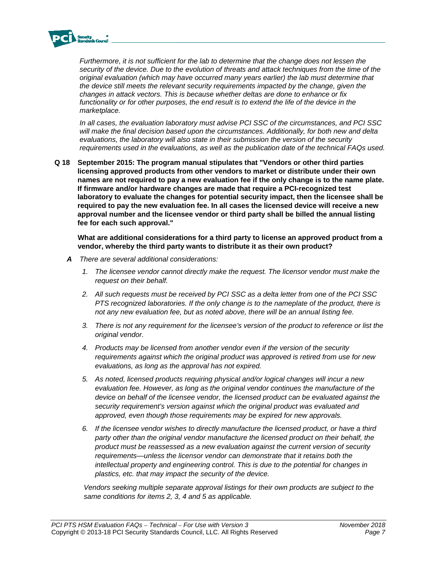

*Furthermore, it is not sufficient for the lab to determine that the change does not lessen the security of the device. Due to the evolution of threats and attack techniques from the time of the original evaluation (which may have occurred many years earlier) the lab must determine that the device still meets the relevant security requirements impacted by the change, given the changes in attack vectors. This is because whether deltas are done to enhance or fix*  functionality or for other purposes, the end result is to extend the life of the device in the *marketplace.* 

*In all cases, the evaluation laboratory must advise PCI SSC of the circumstances, and PCI SSC will make the final decision based upon the circumstances. Additionally, for both new and delta evaluations, the laboratory will also state in their submission the version of the security requirements used in the evaluations, as well as the publication date of the technical FAQs used.* 

**Q 18 September 2015: The program manual stipulates that "Vendors or other third parties licensing approved products from other vendors to market or distribute under their own names are not required to pay a new evaluation fee if the only change is to the name plate. If firmware and/or hardware changes are made that require a PCI-recognized test laboratory to evaluate the changes for potential security impact, then the licensee shall be required to pay the new evaluation fee. In all cases the licensed device will receive a new approval number and the licensee vendor or third party shall be billed the annual listing fee for each such approval."**

**What are additional considerations for a third party to license an approved product from a vendor, whereby the third party wants to distribute it as their own product?**

- *A There are several additional considerations:* 
	- *1. The licensee vendor cannot directly make the request. The licensor vendor must make the request on their behalf.*
	- *2. All such requests must be received by PCI SSC as a delta letter from one of the PCI SSC PTS recognized laboratories. If the only change is to the nameplate of the product, there is not any new evaluation fee, but as noted above, there will be an annual listing fee.*
	- *3. There is not any requirement for the licensee's version of the product to reference or list the original vendor.*
	- *4. Products may be licensed from another vendor even if the version of the security requirements against which the original product was approved is retired from use for new evaluations, as long as the approval has not expired.*
	- *5. As noted, licensed products requiring physical and/or logical changes will incur a new evaluation fee. However, as long as the original vendor continues the manufacture of the device on behalf of the licensee vendor, the licensed product can be evaluated against the security requirement's version against which the original product was evaluated and approved, even though those requirements may be expired for new approvals.*
	- *6. If the licensee vendor wishes to directly manufacture the licensed product, or have a third party other than the original vendor manufacture the licensed product on their behalf, the product must be reassessed as a new evaluation against the current version of security requirements—unless the licensor vendor can demonstrate that it retains both the intellectual property and engineering control. This is due to the potential for changes in plastics, etc. that may impact the security of the device.*

*Vendors seeking multiple separate approval listings for their own products are subject to the same conditions for items 2, 3, 4 and 5 as applicable.*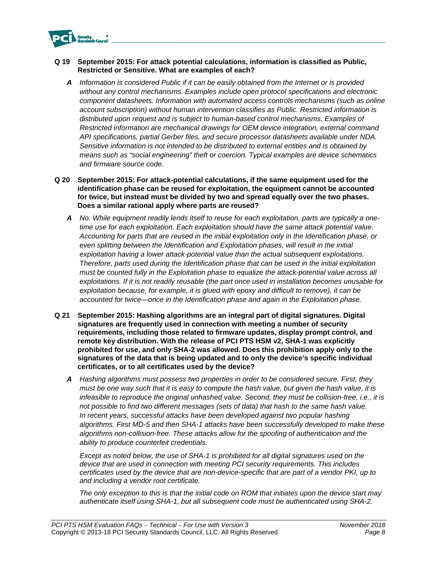

## **Q 19 September 2015: For attack potential calculations, information is classified as Public, Restricted or Sensitive. What are examples of each?**

*A Information is considered Public if it can be easily obtained from the Internet or is provided without any control mechanisms. Examples include open protocol specifications and electronic component datasheets. Information with automated access controls mechanisms (such as online account subscription) without human intervention classifies as Public. Restricted information is distributed upon request and is subject to human-based control mechanisms. Examples of Restricted information are mechanical drawings for OEM device integration, external command API specifications, partial Gerber files, and secure processor datasheets available under NDA. Sensitive information is not intended to be distributed to external entities and is obtained by means such as "social engineering" theft or coercion. Typical examples are device schematics and firmware source code.*

#### **Q 20 September 2015: For attack-potential calculations, if the same equipment used for the identification phase can be reused for exploitation, the equipment cannot be accounted for twice, but instead must be divided by two and spread equally over the two phases. Does a similar rational apply where parts are reused?**

- *A No. While equipment readily lends itself to reuse for each exploitation, parts are typically a onetime use for each exploitation. Each exploitation should have the same attack potential value. Accounting for parts that are reused in the initial exploitation only in the Identification phase, or even splitting between the Identification and Exploitation phases, will result in the initial exploitation having a lower attack-potential value than the actual subsequent exploitations. Therefore, parts used during the Identification phase that can be used in the initial exploitation must be counted fully in the Exploitation phase to equalize the attack-potential value across all exploitations. If it is not readily reusable (the part once used in installation becomes unusable for exploitation because, for example, it is glued with epoxy and difficult to remove), it can be accounted for twice—once in the Identification phase and again in the Exploitation phase.*
- **Q 21 September 2015: Hashing algorithms are an integral part of digital signatures. Digital signatures are frequently used in connection with meeting a number of security requirements, including those related to firmware updates, display prompt control, and remote key distribution. With the release of PCI PTS HSM v2, SHA-1 was explicitly prohibited for use, and only SHA-2 was allowed. Does this prohibition apply only to the signatures of the data that is being updated and to only the device's specific individual certificates, or to all certificates used by the device?** 
	- *A Hashing algorithms must possess two properties in order to be considered secure. First, they must be one way such that it is easy to compute the hash value, but given the hash value, it is infeasible to reproduce the original unhashed value. Second, they must be collision-free, i.e., it is not possible to find two different messages (sets of data) that hash to the same hash value. In recent years, successful attacks have been developed against two popular hashing algorithms. First MD-5 and then SHA-1 attacks have been successfully developed to make these algorithms non-collision-free. These attacks allow for the spoofing of authentication and the ability to produce counterfeit credentials.*

*Except as noted below, the use of SHA-1 is prohibited for all digital signatures used on the device that are used in connection with meeting PCI security requirements. This includes certificates used by the device that are non-device-specific that are part of a vendor PKI, up to and including a vendor root certificate.* 

*The only exception to this is that the initial code on ROM that initiates upon the device start may authenticate itself using SHA-1, but all subsequent code must be authenticated using SHA-2.*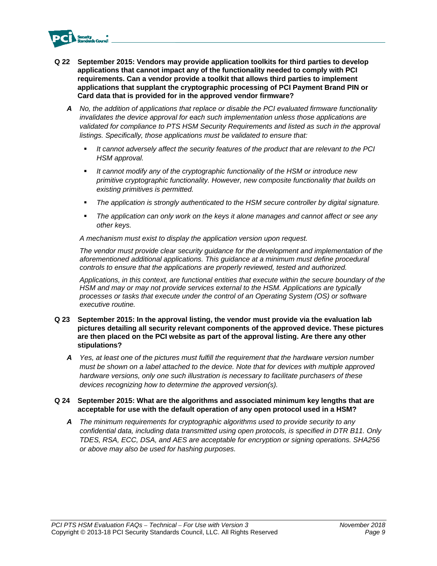

- **Q 22 September 2015: Vendors may provide application toolkits for third parties to develop applications that cannot impact any of the functionality needed to comply with PCI requirements. Can a vendor provide a toolkit that allows third parties to implement applications that supplant the cryptographic processing of PCI Payment Brand PIN or Card data that is provided for in the approved vendor firmware?** 
	- *A No, the addition of applications that replace or disable the PCI evaluated firmware functionality invalidates the device approval for each such implementation unless those applications are validated for compliance to PTS HSM Security Requirements and listed as such in the approval listings. Specifically, those applications must be validated to ensure that:* 
		- *It cannot adversely affect the security features of the product that are relevant to the PCI HSM approval.*
		- *It cannot modify any of the cryptographic functionality of the HSM or introduce new primitive cryptographic functionality. However, new composite functionality that builds on existing primitives is permitted.*
		- *The application is strongly authenticated to the HSM secure controller by digital signature.*
		- *The application can only work on the keys it alone manages and cannot affect or see any other keys.*

*A mechanism must exist to display the application version upon request.* 

*The vendor must provide clear security guidance for the development and implementation of the aforementioned additional applications. This guidance at a minimum must define procedural controls to ensure that the applications are properly reviewed, tested and authorized.* 

*Applications, in this context, are functional entities that execute within the secure boundary of the HSM and may or may not provide services external to the HSM. Applications are typically processes or tasks that execute under the control of an Operating System (OS) or software executive routine.* 

- **Q 23 September 2015: In the approval listing, the vendor must provide via the evaluation lab pictures detailing all security relevant components of the approved device. These pictures are then placed on the PCI website as part of the approval listing. Are there any other stipulations?**
	- *A Yes, at least one of the pictures must fulfill the requirement that the hardware version number must be shown on a label attached to the device. Note that for devices with multiple approved hardware versions, only one such illustration is necessary to facilitate purchasers of these devices recognizing how to determine the approved version(s).*

#### **Q 24 September 2015: What are the algorithms and associated minimum key lengths that are acceptable for use with the default operation of any open protocol used in a HSM?**

*A The minimum requirements for cryptographic algorithms used to provide security to any confidential data, including data transmitted using open protocols, is specified in DTR B11. Only TDES, RSA, ECC, DSA, and AES are acceptable for encryption or signing operations. SHA256 or above may also be used for hashing purposes.*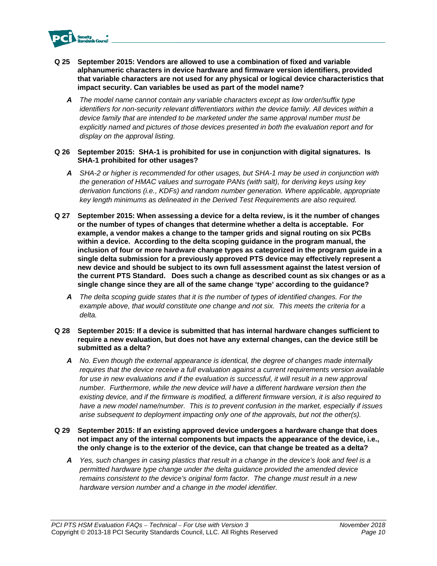

- **Q 25 September 2015: Vendors are allowed to use a combination of fixed and variable alphanumeric characters in device hardware and firmware version identifiers, provided that variable characters are not used for any physical or logical device characteristics that impact security. Can variables be used as part of the model name?** 
	- *A The model name cannot contain any variable characters except as low order/suffix type identifiers for non-security relevant differentiators within the device family. All devices within a device family that are intended to be marketed under the same approval number must be explicitly named and pictures of those devices presented in both the evaluation report and for display on the approval listing.*
- **Q 26 September 2015: SHA-1 is prohibited for use in conjunction with digital signatures. Is SHA-1 prohibited for other usages?** 
	- *A SHA-2 or higher is recommended for other usages, but SHA-1 may be used in conjunction with the generation of HMAC values and surrogate PANs (with salt), for deriving keys using key derivation functions (i.e., KDFs) and random number generation. Where applicable, appropriate key length minimums as delineated in the Derived Test Requirements are also required.*
- **Q 27 September 2015: When assessing a device for a delta review, is it the number of changes or the number of types of changes that determine whether a delta is acceptable. For example, a vendor makes a change to the tamper grids and signal routing on six PCBs within a device. According to the delta scoping guidance in the program manual, the inclusion of four or more hardware change types as categorized in the program guide in a single delta submission for a previously approved PTS device may effectively represent a new device and should be subject to its own full assessment against the latest version of the current PTS Standard. Does such a change as described count as six changes or as a single change since they are all of the same change 'type' according to the guidance?** 
	- *A The delta scoping guide states that it is the number of types of identified changes. For the example above, that would constitute one change and not six. This meets the criteria for a delta.*
- **Q 28 September 2015: If a device is submitted that has internal hardware changes sufficient to require a new evaluation, but does not have any external changes, can the device still be submitted as a delta?** 
	- *A No. Even though the external appearance is identical, the degree of changes made internally requires that the device receive a full evaluation against a current requirements version available*  for use in new evaluations and if the evaluation is successful, it will result in a new approval *number. Furthermore, while the new device will have a different hardware version then the existing device, and if the firmware is modified, a different firmware version, it is also required to have a new model name/number. This is to prevent confusion in the market, especially if issues arise subsequent to deployment impacting only one of the approvals, but not the other(s).*
- **Q 29 September 2015: If an existing approved device undergoes a hardware change that does not impact any of the internal components but impacts the appearance of the device, i.e., the only change is to the exterior of the device, can that change be treated as a delta?** 
	- *A Yes, such changes in casing plastics that result in a change in the device's look and feel is a permitted hardware type change under the delta guidance provided the amended device remains consistent to the device's original form factor. The change must result in a new hardware version number and a change in the model identifier.*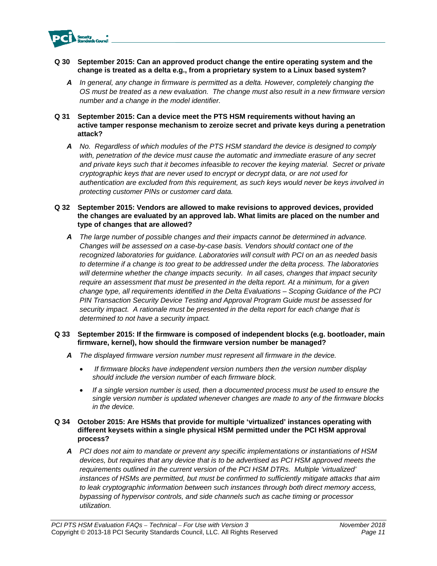

## **Q 30 September 2015: Can an approved product change the entire operating system and the change is treated as a delta e.g., from a proprietary system to a Linux based system?**

*A In general, any change in firmware is permitted as a delta. However, completely changing the OS must be treated as a new evaluation. The change must also result in a new firmware version number and a change in the model identifier.* 

## **Q 31 September 2015: Can a device meet the PTS HSM requirements without having an active tamper response mechanism to zeroize secret and private keys during a penetration attack?**

*A No. Regardless of which modules of the PTS HSM standard the device is designed to comply with, penetration of the device must cause the automatic and immediate erasure of any secret and private keys such that it becomes infeasible to recover the keying material. Secret or private cryptographic keys that are never used to encrypt or decrypt data, or are not used for authentication are excluded from this requirement, as such keys would never be keys involved in protecting customer PINs or customer card data.* 

## **Q 32 September 2015: Vendors are allowed to make revisions to approved devices, provided the changes are evaluated by an approved lab. What limits are placed on the number and type of changes that are allowed?**

*A The large number of possible changes and their impacts cannot be determined in advance. Changes will be assessed on a case-by-case basis. Vendors should contact one of the recognized laboratories for guidance. Laboratories will consult with PCI on an as needed basis to determine if a change is too great to be addressed under the delta process. The laboratories will determine whether the change impacts security. In all cases, changes that impact security require an assessment that must be presented in the delta report. At a minimum, for a given change type, all requirements identified in the Delta Evaluations – Scoping Guidance of the PCI PIN Transaction Security Device Testing and Approval Program Guide must be assessed for security impact. A rationale must be presented in the delta report for each change that is determined to not have a security impact.* 

## **Q 33 September 2015: If the firmware is composed of independent blocks (e.g. bootloader, main firmware, kernel), how should the firmware version number be managed?**

- *A The displayed firmware version number must represent all firmware in the device.*
	- *If firmware blocks have independent version numbers then the version number display should include the version number of each firmware block.*
	- *If a single version number is used, then a documented process must be used to ensure the single version number is updated whenever changes are made to any of the firmware blocks in the device.*

## **Q 34 October 2015: Are HSMs that provide for multiple 'virtualized' instances operating with different keysets within a single physical HSM permitted under the PCI HSM approval process?**

*A PCI does not aim to mandate or prevent any specific implementations or instantiations of HSM devices, but requires that any device that is to be advertised as PCI HSM approved meets the requirements outlined in the current version of the PCI HSM DTRs. Multiple 'virtualized' instances of HSMs are permitted, but must be confirmed to sufficiently mitigate attacks that aim to leak cryptographic information between such instances through both direct memory access, bypassing of hypervisor controls, and side channels such as cache timing or processor utilization.*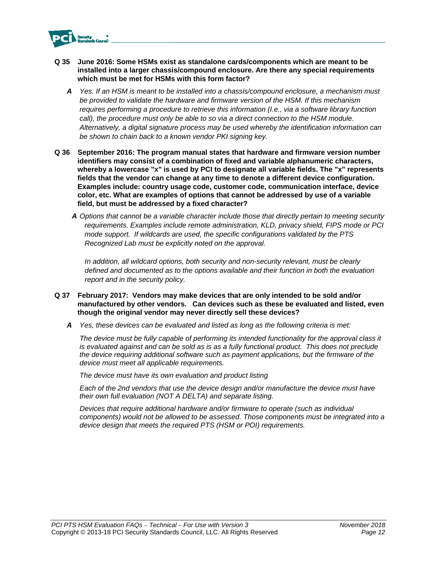

- **Q 35 June 2016: Some HSMs exist as standalone cards/components which are meant to be installed into a larger chassis/compound enclosure. Are there any special requirements which must be met for HSMs with this form factor?** 
	- *A Yes. If an HSM is meant to be installed into a chassis/compound enclosure, a mechanism must be provided to validate the hardware and firmware version of the HSM. If this mechanism requires performing a procedure to retrieve this information (I.e., via a software library function call*), the procedure must only be able to so via a direct connection to the HSM module. *Alternatively, a digital signature process may be used whereby the identification information can be shown to chain back to a known vendor PKI signing key.*
- **Q 36 September 2016: The program manual states that hardware and firmware version number identifiers may consist of a combination of fixed and variable alphanumeric characters, whereby a lowercase "x" is used by PCI to designate all variable fields. The "x" represents fields that the vendor can change at any time to denote a different device configuration. Examples include: country usage code, customer code, communication interface, device color, etc. What are examples of options that cannot be addressed by use of a variable field, but must be addressed by a fixed character?** 
	- *A Options that cannot be a variable character include those that directly pertain to meeting security requirements. Examples include remote administration, KLD, privacy shield, FIPS mode or PCI mode support. If wildcards are used, the specific configurations validated by the PTS Recognized Lab must be explicitly noted on the approval.*

*In addition, all wildcard options, both security and non-security relevant, must be clearly defined and documented as to the options available and their function in both the evaluation report and in the security policy.* 

## **Q 37 February 2017: Vendors may make devices that are only intended to be sold and/or manufactured by other vendors. Can devices such as these be evaluated and listed, even though the original vendor may never directly sell these devices?**

*A Yes, these devices can be evaluated and listed as long as the following criteria is met:* 

*The device must be fully capable of performing its intended functionality for the approval class it is evaluated against and can be sold as is as a fully functional product. This does not preclude the device requiring additional software such as payment applications, but the firmware of the device must meet all applicable requirements.* 

*The device must have its own evaluation and product listing* 

*Each of the 2nd vendors that use the device design and/or manufacture the device must have their own full evaluation (NOT A DELTA) and separate listing.* 

*Devices that require additional hardware and/or firmware to operate (such as individual components) would not be allowed to be assessed. Those components must be integrated into a device design that meets the required PTS (HSM or POI) requirements.*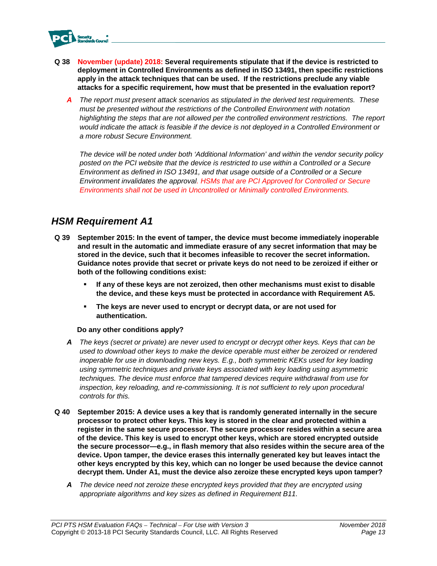

- **Q 38 November (update) 2018: Several requirements stipulate that if the device is restricted to deployment in Controlled Environments as defined in ISO 13491, then specific restrictions apply in the attack techniques that can be used. If the restrictions preclude any viable attacks for a specific requirement, how must that be presented in the evaluation report?** 
	- *A The report must present attack scenarios as stipulated in the derived test requirements. These must be presented without the restrictions of the Controlled Environment with notation highlighting the steps that are not allowed per the controlled environment restrictions. The report would indicate the attack is feasible if the device is not deployed in a Controlled Environment or a more robust Secure Environment.*

*The device will be noted under both 'Additional Information' and within the vendor security policy*  posted on the PCI website that the device is restricted to use within a Controlled or a Secure *Environment as defined in ISO 13491, and that usage outside of a Controlled or a Secure Environment invalidates the approval. HSMs that are PCI Approved for Controlled or Secure Environments shall not be used in Uncontrolled or Minimally controlled Environments.* 

## *HSM Requirement A1*

- **Q 39 September 2015: In the event of tamper, the device must become immediately inoperable and result in the automatic and immediate erasure of any secret information that may be stored in the device, such that it becomes infeasible to recover the secret information. Guidance notes provide that secret or private keys do not need to be zeroized if either or both of the following conditions exist:** 
	- **If any of these keys are not zeroized, then other mechanisms must exist to disable the device, and these keys must be protected in accordance with Requirement A5.**
	- **The keys are never used to encrypt or decrypt data, or are not used for authentication.**

## **Do any other conditions apply?**

- *A The keys (secret or private) are never used to encrypt or decrypt other keys. Keys that can be used to download other keys to make the device operable must either be zeroized or rendered inoperable for use in downloading new keys. E.g., both symmetric KEKs used for key loading using symmetric techniques and private keys associated with key loading using asymmetric techniques. The device must enforce that tampered devices require withdrawal from use for*  inspection, key reloading, and re-commissioning. It is not sufficient to rely upon procedural *controls for this.*
- **Q 40 September 2015: A device uses a key that is randomly generated internally in the secure processor to protect other keys. This key is stored in the clear and protected within a register in the same secure processor. The secure processor resides within a secure area of the device. This key is used to encrypt other keys, which are stored encrypted outside the secure processor—e.g., in flash memory that also resides within the secure area of the device. Upon tamper, the device erases this internally generated key but leaves intact the other keys encrypted by this key, which can no longer be used because the device cannot decrypt them. Under A1, must the device also zeroize these encrypted keys upon tamper?** 
	- *A The device need not zeroize these encrypted keys provided that they are encrypted using appropriate algorithms and key sizes as defined in Requirement B11.*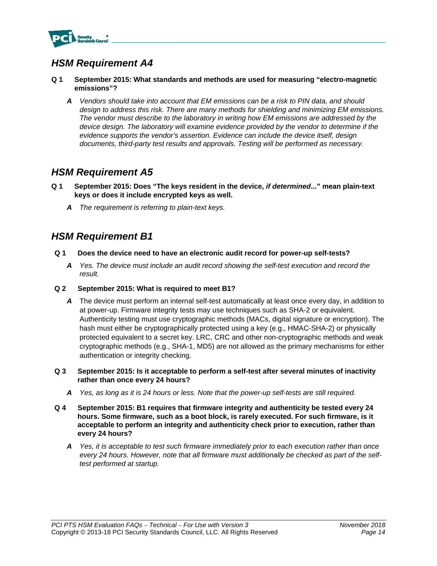

- **Q 1 September 2015: What standards and methods are used for measuring "electro-magnetic emissions"?** 
	- *A Vendors should take into account that EM emissions can be a risk to PIN data, and should design to address this risk. There are many methods for shielding and minimizing EM emissions. The vendor must describe to the laboratory in writing how EM emissions are addressed by the device design. The laboratory will examine evidence provided by the vendor to determine if the evidence supports the vendor's assertion. Evidence can include the device itself, design documents, third-party test results and approvals. Testing will be performed as necessary.*

## *HSM Requirement A5*

- **Q 1 September 2015: Does "The keys resident in the device,** *if determined***..." mean plain-text keys or does it include encrypted keys as well.** 
	- *A The requirement is referring to plain-text keys.*

## *HSM Requirement B1*

- **Q 1 Does the device need to have an electronic audit record for power-up self-tests?** 
	- *A Yes. The device must include an audit record showing the self-test execution and record the result.*
- **Q 2 September 2015: What is required to meet B1?** 
	- *A* The device must perform an internal self-test automatically at least once every day, in addition to at power-up. Firmware integrity tests may use techniques such as SHA-2 or equivalent. Authenticity testing must use cryptographic methods (MACs, digital signature or encryption). The hash must either be cryptographically protected using a key (e.g., HMAC-SHA-2) or physically protected equivalent to a secret key. LRC, CRC and other non-cryptographic methods and weak cryptographic methods (e.g., SHA-1, MD5) are not allowed as the primary mechanisms for either authentication or integrity checking.
- **Q 3 September 2015: Is it acceptable to perform a self-test after several minutes of inactivity rather than once every 24 hours?** 
	- *A Yes, as long as it is 24 hours or less. Note that the power-up self-tests are still required.*
- **Q 4 September 2015: B1 requires that firmware integrity and authenticity be tested every 24 hours. Some firmware, such as a boot block, is rarely executed. For such firmware, is it acceptable to perform an integrity and authenticity check prior to execution, rather than every 24 hours?** 
	- *A Yes, it is acceptable to test such firmware immediately prior to each execution rather than once every 24 hours. However, note that all firmware must additionally be checked as part of the selftest performed at startup.*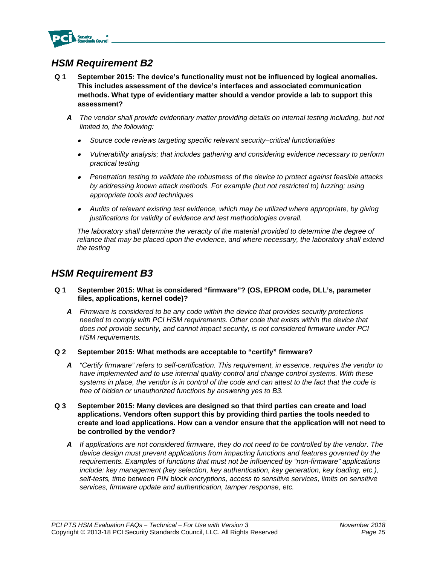

- **Q 1 September 2015: The device's functionality must not be influenced by logical anomalies. This includes assessment of the device's interfaces and associated communication methods. What type of evidentiary matter should a vendor provide a lab to support this assessment?** 
	- *A The vendor shall provide evidentiary matter providing details on internal testing including, but not limited to, the following:*
		- . *Source code reviews targeting specific relevant security–critical functionalities*
		- *Vulnerability analysis; that includes gathering and considering evidence necessary to perform practical testing*
		- *Penetration testing to validate the robustness of the device to protect against feasible attacks by addressing known attack methods. For example (but not restricted to) fuzzing; using appropriate tools and techniques*
		- *Audits of relevant existing test evidence, which may be utilized where appropriate, by giving justifications for validity of evidence and test methodologies overall.*

*The laboratory shall determine the veracity of the material provided to determine the degree of*  reliance that may be placed upon the evidence, and where necessary, the laboratory shall extend *the testing*

## *HSM Requirement B3*

- **Q 1 September 2015: What is considered "firmware"? (OS, EPROM code, DLL's, parameter files, applications, kernel code)?** 
	- *A Firmware is considered to be any code within the device that provides security protections needed to comply with PCI HSM requirements. Other code that exists within the device that does not provide security, and cannot impact security, is not considered firmware under PCI HSM requirements.*
- **Q 2 September 2015: What methods are acceptable to "certify" firmware?** 
	- *A "Certify firmware" refers to self-certification. This requirement, in essence, requires the vendor to*  have implemented and to use internal quality control and change control systems. With these *systems in place, the vendor is in control of the code and can attest to the fact that the code is free of hidden or unauthorized functions by answering yes to B3.*
- **Q 3 September 2015: Many devices are designed so that third parties can create and load applications. Vendors often support this by providing third parties the tools needed to create and load applications. How can a vendor ensure that the application will not need to be controlled by the vendor?** 
	- *A If applications are not considered firmware, they do not need to be controlled by the vendor. The device design must prevent applications from impacting functions and features governed by the requirements. Examples of functions that must not be influenced by "non-firmware" applications*  include: key management (key selection, key authentication, key generation, key loading, etc.), *self-tests, time between PIN block encryptions, access to sensitive services, limits on sensitive services, firmware update and authentication, tamper response, etc.*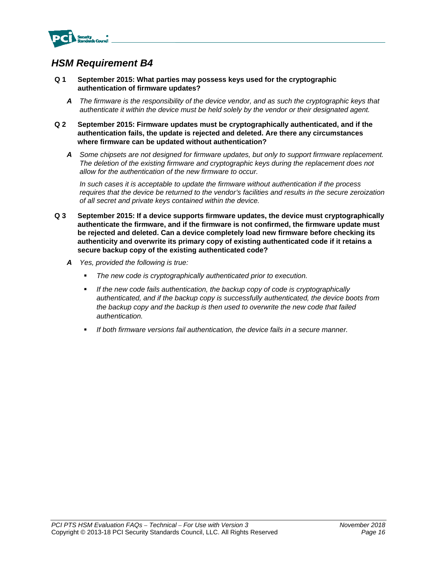

- **Q 1 September 2015: What parties may possess keys used for the cryptographic authentication of firmware updates?** 
	- *A The firmware is the responsibility of the device vendor, and as such the cryptographic keys that authenticate it within the device must be held solely by the vendor or their designated agent.*
- **Q 2 September 2015: Firmware updates must be cryptographically authenticated, and if the authentication fails, the update is rejected and deleted. Are there any circumstances where firmware can be updated without authentication?** 
	- *A Some chipsets are not designed for firmware updates, but only to support firmware replacement. The deletion of the existing firmware and cryptographic keys during the replacement does not allow for the authentication of the new firmware to occur.*

*In such cases it is acceptable to update the firmware without authentication if the process requires that the device be returned to the vendor's facilities and results in the secure zeroization of all secret and private keys contained within the device.* 

- **Q 3 September 2015: If a device supports firmware updates, the device must cryptographically authenticate the firmware, and if the firmware is not confirmed, the firmware update must be rejected and deleted. Can a device completely load new firmware before checking its authenticity and overwrite its primary copy of existing authenticated code if it retains a secure backup copy of the existing authenticated code?** 
	- *A Yes, provided the following is true:* 
		- *The new code is cryptographically authenticated prior to execution.*
		- *If the new code fails authentication, the backup copy of code is cryptographically authenticated, and if the backup copy is successfully authenticated, the device boots from the backup copy and the backup is then used to overwrite the new code that failed authentication.*
		- *If both firmware versions fail authentication, the device fails in a secure manner.*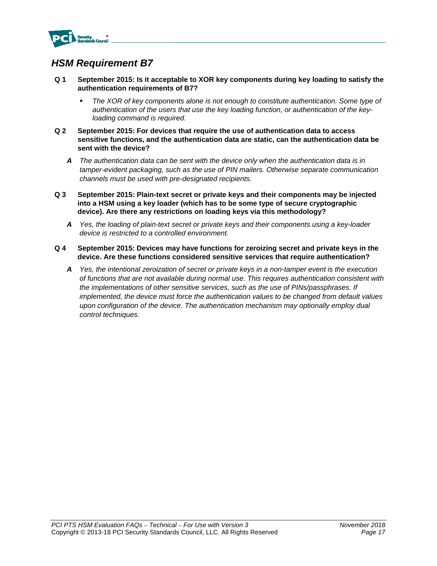

- **Q 1 September 2015: Is it acceptable to XOR key components during key loading to satisfy the authentication requirements of B7?** 
	- *The XOR of key components alone is not enough to constitute authentication. Some type of authentication of the users that use the key loading function, or authentication of the keyloading command is required.*
- **Q 2 September 2015: For devices that require the use of authentication data to access sensitive functions, and the authentication data are static, can the authentication data be sent with the device?** 
	- *A The authentication data can be sent with the device only when the authentication data is in tamper-evident packaging, such as the use of PIN mailers. Otherwise separate communication channels must be used with pre-designated recipients.*
- **Q 3 September 2015: Plain-text secret or private keys and their components may be injected into a HSM using a key loader (which has to be some type of secure cryptographic device). Are there any restrictions on loading keys via this methodology?** 
	- *A Yes, the loading of plain-text secret or private keys and their components using a key-loader device is restricted to a controlled environment.*
- **Q 4 September 2015: Devices may have functions for zeroizing secret and private keys in the device. Are these functions considered sensitive services that require authentication?** 
	- *A Yes, the intentional zeroization of secret or private keys in a non-tamper event is the execution of functions that are not available during normal use. This requires authentication consistent with the implementations of other sensitive services, such as the use of PINs/passphrases. If implemented, the device must force the authentication values to be changed from default values upon configuration of the device. The authentication mechanism may optionally employ dual control techniques.*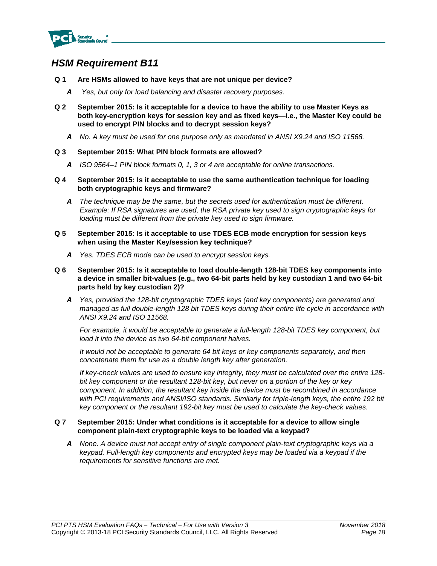

- **Q 1 Are HSMs allowed to have keys that are not unique per device?** 
	- *A Yes, but only for load balancing and disaster recovery purposes.*
- **Q 2 September 2015: Is it acceptable for a device to have the ability to use Master Keys as both key-encryption keys for session key and as fixed keys—i.e., the Master Key could be used to encrypt PIN blocks and to decrypt session keys?** 
	- *A No. A key must be used for one purpose only as mandated in ANSI X9.24 and ISO 11568.*

#### **Q 3 September 2015: What PIN block formats are allowed?**

- *A ISO 9564–1 PIN block formats 0, 1, 3 or 4 are acceptable for online transactions.*
- **Q 4 September 2015: Is it acceptable to use the same authentication technique for loading both cryptographic keys and firmware?** 
	- *A The technique may be the same, but the secrets used for authentication must be different. Example: If RSA signatures are used, the RSA private key used to sign cryptographic keys for loading must be different from the private key used to sign firmware.*
- **Q 5 September 2015: Is it acceptable to use TDES ECB mode encryption for session keys when using the Master Key/session key technique?** 
	- *A Yes. TDES ECB mode can be used to encrypt session keys.*
- **Q 6 September 2015: Is it acceptable to load double-length 128-bit TDES key components into a device in smaller bit-values (e.g., two 64-bit parts held by key custodian 1 and two 64-bit parts held by key custodian 2)?** 
	- *A Yes, provided the 128-bit cryptographic TDES keys (and key components) are generated and managed as full double-length 128 bit TDES keys during their entire life cycle in accordance with ANSI X9.24 and ISO 11568.*

*For example, it would be acceptable to generate a full-length 128-bit TDES key component, but load it into the device as two 64-bit component halves.* 

*It would not be acceptable to generate 64 bit keys or key components separately, and then concatenate them for use as a double length key after generation.* 

*If key-check values are used to ensure key integrity, they must be calculated over the entire 128 bit key component or the resultant 128-bit key, but never on a portion of the key or key component. In addition, the resultant key inside the device must be recombined in accordance with PCI requirements and ANSI/ISO standards. Similarly for triple-length keys, the entire 192 bit key component or the resultant 192-bit key must be used to calculate the key-check values.* 

#### **Q 7 September 2015: Under what conditions is it acceptable for a device to allow single component plain-text cryptographic keys to be loaded via a keypad?**

*A None. A device must not accept entry of single component plain-text cryptographic keys via a keypad. Full-length key components and encrypted keys may be loaded via a keypad if the requirements for sensitive functions are met.*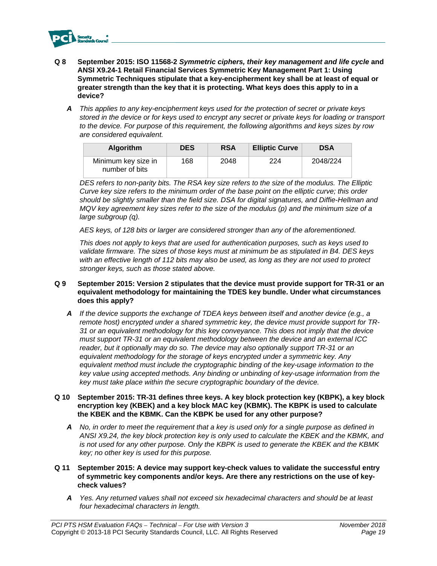

- **Q 8 September 2015: ISO 11568-2** *Symmetric ciphers, their key management and life cycle* **and ANSI X9.24-1 Retail Financial Services Symmetric Key Management Part 1: Using Symmetric Techniques stipulate that a key-encipherment key shall be at least of equal or greater strength than the key that it is protecting. What keys does this apply to in a device?** 
	- *A This applies to any key-encipherment keys used for the protection of secret or private keys stored in the device or for keys used to encrypt any secret or private keys for loading or transport to the device. For purpose of this requirement, the following algorithms and keys sizes by row are considered equivalent.*

| <b>Algorithm</b>                      | <b>DES</b> | <b>RSA</b> | <b>Elliptic Curve</b> | <b>DSA</b> |
|---------------------------------------|------------|------------|-----------------------|------------|
| Minimum key size in<br>number of bits | 168        | 2048       | 224                   | 2048/224   |

*DES refers to non-parity bits. The RSA key size refers to the size of the modulus. The Elliptic Curve key size refers to the minimum order of the base point on the elliptic curve; this order should be slightly smaller than the field size. DSA for digital signatures, and Diffie-Hellman and MQV key agreement key sizes refer to the size of the modulus (p) and the minimum size of a large subgroup (q).* 

*AES keys, of 128 bits or larger are considered stronger than any of the aforementioned.* 

*This does not apply to keys that are used for authentication purposes, such as keys used to validate firmware. The sizes of those keys must at minimum be as stipulated in B4. DES keys with an effective length of 112 bits may also be used, as long as they are not used to protect stronger keys, such as those stated above.* 

- **Q 9 September 2015: Version 2 stipulates that the device must provide support for TR-31 or an equivalent methodology for maintaining the TDES key bundle. Under what circumstances does this apply?** 
	- *A If the device supports the exchange of TDEA keys between itself and another device (e.g., a remote host) encrypted under a shared symmetric key, the device must provide support for TR-31 or an equivalent methodology for this key conveyance. This does not imply that the device must support TR-31 or an equivalent methodology between the device and an external ICC reader, but it optionally may do so. The device may also optionally support TR-31 or an equivalent methodology for the storage of keys encrypted under a symmetric key. Any equivalent method must include the cryptographic binding of the key-usage information to the key value using accepted methods. Any binding or unbinding of key-usage information from the key must take place within the secure cryptographic boundary of the device.*

#### **Q 10 September 2015: TR-31 defines three keys. A key block protection key (KBPK), a key block encryption key (KBEK) and a key block MAC key (KBMK). The KBPK is used to calculate the KBEK and the KBMK. Can the KBPK be used for any other purpose?**

- *A No, in order to meet the requirement that a key is used only for a single purpose as defined in ANSI X9.24, the key block protection key is only used to calculate the KBEK and the KBMK, and is not used for any other purpose. Only the KBPK is used to generate the KBEK and the KBMK key; no other key is used for this purpose.*
- **Q 11 September 2015: A device may support key-check values to validate the successful entry of symmetric key components and/or keys. Are there any restrictions on the use of keycheck values?** 
	- *A Yes. Any returned values shall not exceed six hexadecimal characters and should be at least four hexadecimal characters in length.*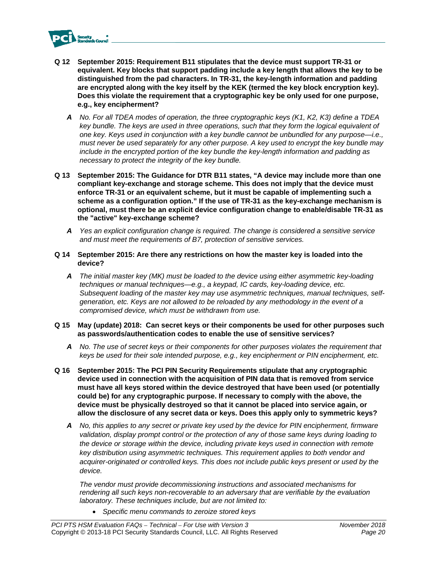

- **Q 12 September 2015: Requirement B11 stipulates that the device must support TR-31 or equivalent. Key blocks that support padding include a key length that allows the key to be distinguished from the pad characters. In TR-31, the key-length information and padding are encrypted along with the key itself by the KEK (termed the key block encryption key). Does this violate the requirement that a cryptographic key be only used for one purpose, e.g., key encipherment?** 
	- *A No. For all TDEA modes of operation, the three cryptographic keys (K1, K2, K3) define a TDEA key bundle. The keys are used in three operations, such that they form the logical equivalent of one key. Keys used in conjunction with a key bundle cannot be unbundled for any purpose—i.e., must never be used separately for any other purpose. A key used to encrypt the key bundle may include in the encrypted portion of the key bundle the key-length information and padding as necessary to protect the integrity of the key bundle.*
- **Q 13 September 2015: The Guidance for DTR B11 states, "A device may include more than one compliant key-exchange and storage scheme. This does not imply that the device must enforce TR-31 or an equivalent scheme, but it must be capable of implementing such a scheme as a configuration option." If the use of TR-31 as the key-exchange mechanism is optional, must there be an explicit device configuration change to enable/disable TR-31 as the "active" key-exchange scheme?** 
	- *A Yes an explicit configuration change is required. The change is considered a sensitive service and must meet the requirements of B7, protection of sensitive services.*
- **Q 14 September 2015: Are there any restrictions on how the master key is loaded into the device?** 
	- *A The initial master key (MK) must be loaded to the device using either asymmetric key-loading techniques or manual techniques—e.g., a keypad, IC cards, key-loading device, etc. Subsequent loading of the master key may use asymmetric techniques, manual techniques, selfgeneration, etc. Keys are not allowed to be reloaded by any methodology in the event of a compromised device, which must be withdrawn from use.*
- **Q 15 May (update) 2018: Can secret keys or their components be used for other purposes such as passwords/authentication codes to enable the use of sensitive services?** 
	- *A No. The use of secret keys or their components for other purposes violates the requirement that keys be used for their sole intended purpose, e.g., key encipherment or PIN encipherment, etc.*
- **Q 16 September 2015: The PCI PIN Security Requirements stipulate that any cryptographic device used in connection with the acquisition of PIN data that is removed from service must have all keys stored within the device destroyed that have been used (or potentially could be) for any cryptographic purpose. If necessary to comply with the above, the device must be physically destroyed so that it cannot be placed into service again, or allow the disclosure of any secret data or keys. Does this apply only to symmetric keys?** 
	- *A No, this applies to any secret or private key used by the device for PIN encipherment, firmware validation, display prompt control or the protection of any of those same keys during loading to the device or storage within the device, including private keys used in connection with remote key distribution using asymmetric techniques. This requirement applies to both vendor and acquirer-originated or controlled keys. This does not include public keys present or used by the device.*

*The vendor must provide decommissioning instructions and associated mechanisms for rendering all such keys non-recoverable to an adversary that are verifiable by the evaluation laboratory. These techniques include, but are not limited to:* 

*Specific menu commands to zeroize stored keys*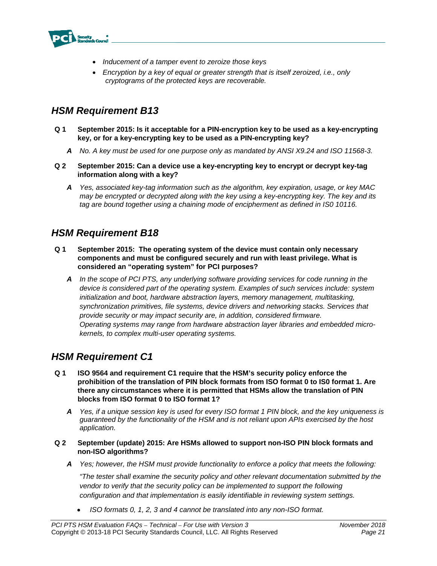

- *Inducement of a tamper event to zeroize those keys*
- *Encryption by a key of equal or greater strength that is itself zeroized, i.e., only cryptograms of the protected keys are recoverable.*

- **Q 1 September 2015: Is it acceptable for a PIN-encryption key to be used as a key-encrypting key, or for a key-encrypting key to be used as a PIN-encrypting key?** 
	- *A No. A key must be used for one purpose only as mandated by ANSI X9.24 and ISO 11568-3.*
- **Q 2 September 2015: Can a device use a key-encrypting key to encrypt or decrypt key-tag information along with a key?** 
	- *A Yes, associated key-tag information such as the algorithm, key expiration, usage, or key MAC may be encrypted or decrypted along with the key using a key-encrypting key. The key and its*  tag are bound together using a chaining mode of encipherment as defined in IS0 10116.

## *HSM Requirement B18*

- **Q 1 September 2015: The operating system of the device must contain only necessary components and must be configured securely and run with least privilege. What is considered an "operating system" for PCI purposes?** 
	- *A In the scope of PCI PTS, any underlying software providing services for code running in the device is considered part of the operating system. Examples of such services include: system initialization and boot, hardware abstraction layers, memory management, multitasking, synchronization primitives, file systems, device drivers and networking stacks. Services that provide security or may impact security are, in addition, considered firmware. Operating systems may range from hardware abstraction layer libraries and embedded microkernels, to complex multi-user operating systems.*

## *HSM Requirement C1*

- **Q 1 ISO 9564 and requirement C1 require that the HSM's security policy enforce the prohibition of the translation of PIN block formats from ISO format 0 to IS0 format 1. Are there any circumstances where it is permitted that HSMs allow the translation of PIN blocks from ISO format 0 to ISO format 1?** 
	- *A Yes, if a unique session key is used for every ISO format 1 PIN block, and the key uniqueness is guaranteed by the functionality of the HSM and is not reliant upon APIs exercised by the host application.*
- **Q 2 September (update) 2015: Are HSMs allowed to support non-ISO PIN block formats and non-ISO algorithms?** 
	- *A Yes; however, the HSM must provide functionality to enforce a policy that meets the following:*

*"The tester shall examine the security policy and other relevant documentation submitted by the vendor to verify that the security policy can be implemented to support the following configuration and that implementation is easily identifiable in reviewing system settings.* 

*ISO formats 0, 1, 2, 3 and 4 cannot be translated into any non-ISO format.*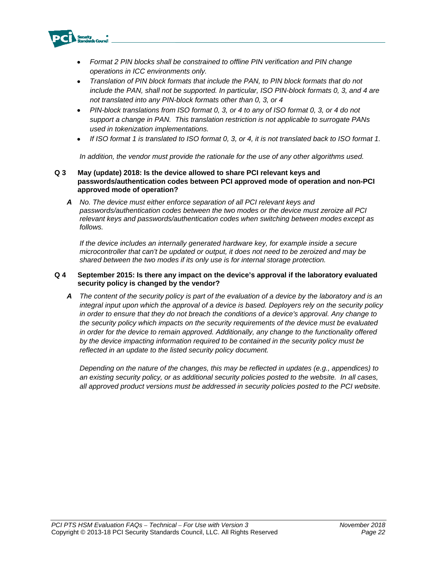

- *Format 2 PIN blocks shall be constrained to offline PIN verification and PIN change operations in ICC environments only.*
- *Translation of PIN block formats that include the PAN, to PIN block formats that do not include the PAN, shall not be supported. In particular, ISO PIN-block formats 0, 3, and 4 are not translated into any PIN-block formats other than 0, 3, or 4*
- *PIN-block translations from ISO format 0, 3, or 4 to any of ISO format 0, 3, or 4 do not support a change in PAN. This translation restriction is not applicable to surrogate PANs used in tokenization implementations.*
- *If ISO format 1 is translated to ISO format 0, 3, or 4, it is not translated back to ISO format 1.*

*In addition, the vendor must provide the rationale for the use of any other algorithms used.* 

#### **Q 3 May (update) 2018: Is the device allowed to share PCI relevant keys and passwords/authentication codes between PCI approved mode of operation and non-PCI approved mode of operation?**

*A No. The device must either enforce separation of all PCI relevant keys and passwords/authentication codes between the two modes or the device must zeroize all PCI relevant keys and passwords/authentication codes when switching between modes except as follows.* 

*If the device includes an internally generated hardware key, for example inside a secure microcontroller that can't be updated or output, it does not need to be zeroized and may be shared between the two modes if its only use is for internal storage protection.* 

#### **Q 4 September 2015: Is there any impact on the device's approval if the laboratory evaluated security policy is changed by the vendor?**

*A The content of the security policy is part of the evaluation of a device by the laboratory and is an integral input upon which the approval of a device is based. Deployers rely on the security policy in order to ensure that they do not breach the conditions of a device's approval. Any change to the security policy which impacts on the security requirements of the device must be evaluated in order for the device to remain approved. Additionally, any change to the functionality offered by the device impacting information required to be contained in the security policy must be reflected in an update to the listed security policy document.* 

*Depending on the nature of the changes, this may be reflected in updates (e.g., appendices) to an existing security policy, or as additional security policies posted to the website. In all cases, all approved product versions must be addressed in security policies posted to the PCI website.*